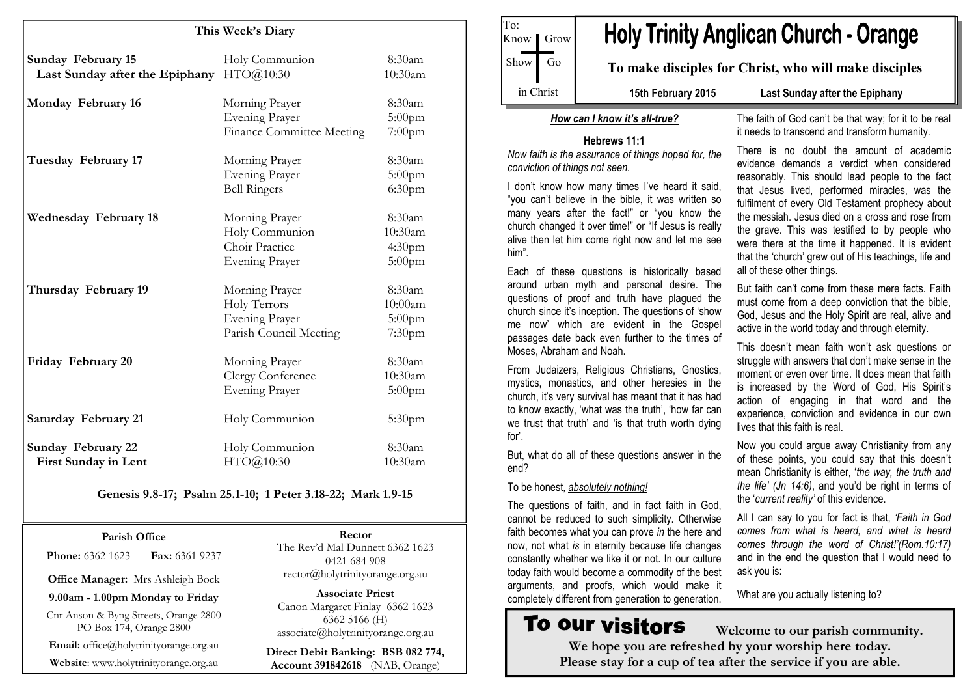| This Week's Diary                                           |                                                                                   |                                                      |
|-------------------------------------------------------------|-----------------------------------------------------------------------------------|------------------------------------------------------|
| <b>Sunday February 15</b><br>Last Sunday after the Epiphany | Holy Communion<br>HTO@10:30                                                       | 8:30am<br>10:30am                                    |
| Monday February 16                                          | Morning Prayer<br><b>Evening Prayer</b><br><b>Finance Committee Meeting</b>       | 8:30am<br>$5:00$ pm<br>$7:00$ pm                     |
| Tuesday February 17                                         | Morning Prayer<br><b>Evening Prayer</b><br><b>Bell Ringers</b>                    | 8:30am<br>$5:00$ pm<br>6:30 <sub>pm</sub>            |
| <b>Wednesday February 18</b>                                | Morning Prayer<br>Holy Communion<br>Choir Practice<br><b>Evening Prayer</b>       | 8:30am<br>10:30am<br>4:30 <sub>pm</sub><br>$5:00$ pm |
| Thursday February 19                                        | Morning Prayer<br>Holy Terrors<br><b>Evening Prayer</b><br>Parish Council Meeting | 8:30am<br>10:00am<br>$5:00$ pm<br>7:30 <sub>pm</sub> |
| Friday February 20                                          | Morning Prayer<br>Clergy Conference<br><b>Evening Prayer</b>                      | 8:30am<br>10:30am<br>$5:00$ pm                       |
| <b>Saturday February 21</b>                                 | Holy Communion                                                                    | 5:30pm                                               |
| <b>Sunday February 22</b><br>First Sunday in Lent           | Holy Communion<br>HTO@10:30                                                       | 8:30am<br>10:30am                                    |

#### Genesis 9.8-17; Psalm 25.1-10; 1 Peter 3.18-22; Mark 1.9-15

Parish Office **Phone: 6362 1623 Fax: 6361 9237** 

Office Manager: Mrs Ashleigh Bock

9.00am - 1.00pm Monday to Friday

Cnr Anson & Byng Streets, Orange 2800 PO Box 174, Orange 2800

Email: office@holytrinityorange.org.au

Website: www.holytrinityorange.org.au

Rector The Rev'd Mal Dunnett 6362 1623 0421 684 908 rector@holytrinityorange.org.au

Associate Priest Canon Margaret Finlay 6362 1623 6362 5166 (H) associate@holytrinityorange.org.au

Direct Debit Banking: BSB 082 774, Account 391842618 (NAB, Orange)

To: Know | Grow Show Go in Christ

# **Holy Trinity Anglican Church - Orange**

To make disciples for Christ, who will make disciples

15th February 2015 Last Sunday after the Epiphany

#### How can I know it's all-true?

#### Hebrews 11:1

 Now faith is the assurance of things hoped for, theconviction of things not seen.

I don't know how many times I've heard it said, "you can't believe in the bible, it was written so many years after the fact!" or "you know the church changed it over time!" or "If Jesus is really alive then let him come right now and let me see him".

Each of these questions is historically based around urban myth and personal desire. The questions of proof and truth have plagued the church since it's inception. The questions of 'show me now' which are evident in the Gospel passages date back even further to the times of Moses, Abraham and Noah.

From Judaizers, Religious Christians, Gnostics, mystics, monastics, and other heresies in the church, it's very survival has meant that it has had to know exactly, 'what was the truth', 'how far can we trust that truth' and 'is that truth worth dyingfor'.

But, what do all of these questions answer in the end?

#### To be honest, absolutely nothing!

The questions of faith, and in fact faith in God, cannot be reduced to such simplicity. Otherwise faith becomes what you can prove in the here and now, not what is in eternity because life changes constantly whether we like it or not. In our culture today faith would become a commodity of the best arguments, and proofs, which would make it completely different from generation to generation.

# **To our visitors**

 Welcome to our parish community. We hope you are refreshed by your worship here today. Please stay for a cup of tea after the service if you are able.

The faith of God can't be that way; for it to be real it needs to transcend and transform humanity.

There is no doubt the amount of academic evidence demands a verdict when considered reasonably. This should lead people to the fact that Jesus lived, performed miracles, was the fulfilment of every Old Testament prophecy about the messiah. Jesus died on a cross and rose from the grave. This was testified to by people who were there at the time it happened. It is evident that the 'church' grew out of His teachings, life and all of these other things.

But faith can't come from these mere facts. Faith must come from a deep conviction that the bible, God, Jesus and the Holy Spirit are real, alive and active in the world today and through eternity.

This doesn't mean faith won't ask questions or struggle with answers that don't make sense in the moment or even over time. It does mean that faith is increased by the Word of God, His Spirit's action of engaging in that word and the experience, conviction and evidence in our own lives that this faith is real.

Now you could argue away Christianity from any of these points, you could say that this doesn't mean Christianity is either, 'the way, the truth and the life' (Jn 14:6), and you'd be right in terms of the 'current reality' of this evidence.

All I can say to you for fact is that, 'Faith in God comes from what is heard, and what is heard comes through the word of Christ!'(Rom.10:17) and in the end the question that I would need to ask you is:

What are you actually listening to?